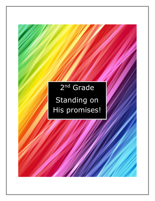# 2<sup>nd</sup> Grade Standing on His promises!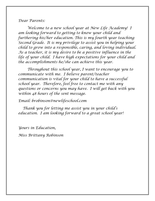### *Dear Parents:*

*Welcome to a new school year at New Life Academy! I am looking forward to getting to know your child and furthering his/her education. This is my fourth year teaching Second Grade. It is my privilege to assist you in helping your child to grow into a responsible, caring, and loving individual. As a teacher, it is my desire to be a positive influence in the life of your child. I have high expectations for your child and the accomplishments he/she can achieve this year.*

*Throughout this school year, I want to encourage you to communicate with me. I believe parent/teacher communication is vital for your child to have a successful school year. Therefore, feel free to contact me with any questions or concerns you may have. I will get back with you within 48 hours of the sent message.* 

*Email: brobinson@newlifeschool.com*

*Thank you for letting me assist you in your child's education. I am looking forward to a great school year!*

*Yours in Education,*

*Miss Brittany Robinson*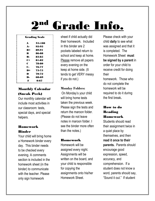# Grade Info.

| <b>Grading Scale</b> |        |
|----------------------|--------|
| A                    | 94-100 |
| А-                   | 92-93  |
| B+                   | 89-91  |
| R                    | 86-88  |
| R.                   | 83-85  |
| C+                   | 81-82  |
| C                    | 78-80  |
| C-                   | 76-77  |
| D+                   | 73-75  |
| D                    | 70-72  |
| D.                   | 68-69  |
| F                    | 0-67   |

# Monthly Calendar (Sneak Peek)

Our monthly calendar will include most activities in our classroom: tests, special days, and special helpers.

# Homework Binder

Your child will bring home a Homework binder every day. This binder needs to be checked every evening. A comments section is included in the homework sheet (in the binder) to communicate with the teacher. Please only sign homework

sheet if child actually did their homework. Included in this binder are 2 pockets labeled return to school and keep at home. Please remove all papers every evening on the keep at home side. (It tends to get VERY messy if you do not.)

# **Monday Folders:**

On Monday's your child will bring home tests taken the previous week. Please sign the tests and return the maroon folder. (Please do not leave notes in maroon folder. I see the binder more often than the notes.)

# Homework

Homework will be assigned every night. Assignments will be written on the board, and your child is responsible for copying the assignments onto his/her Homework Sheet.

Please check with your child **daily** to see what was assigned and that it is completed. The Homework Sheet **must be signed by a parent** in order for your child to receive credit for doing their homework. Those who do not complete the homework will be required to do it during

# How to do Reading Homework

the first break**.**

Students should read their assignment twice in a quiet place by themselves, and then **read it once to their parents.** Parents should encourage good expression, speed, accuracy, and comprehension. If a student does not know a word, parents should say, "Sound it out." If student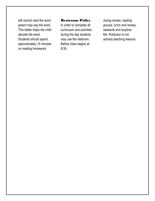still cannot read the word, parent may say the word. This better helps the child decode the word. Students should spend approximately 15 minutes on reading homework.

#### Restroom Policy

In order to complete all curriculum and activities during the day students may use the restroom: Before class begins at 8:30,

during recess, reading groups, lunch and recess, seatwork and anytime Ms. Robinson is not actively teaching lessons.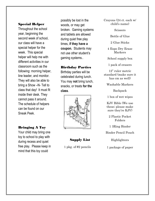#### Special Helper

Throughout the school year, beginning the second week of school, our class will have a special helper for the week. This special helper will help me with different activities in our classroom such as the following: morning helper, line leader, and monitor. They will also be able to bring a Show –N- Tell to class that day! It must fit inside their desk. They cannot pass it around. The schedule of helpers can be found on our Sneak Peek.

#### Bringing A Toy

Your child may bring one toy to school to play with during recess and quiet free play. Please keep in mind that this toy could

possibly be lost in the woods, or may get broken. Gaming systems and tablets are allowed during quiet free play times, **if they have a coupon.** Students may not use other student's gaming systems..

#### Birthday Parties

Birthday parties will be celebrated during lunch. You may **not** bring lunch, snacks, or treats **for the class**.



Supply List

1 pkg. of #2 pencils

Crayons (24 ct. each w/ child's name)

**Scissors** 

Bottle of Glue

2 Glue Sticks

4 Expo Dry Erase Markers

School supply box

1 pack of erasers

12" ruler metric standard (make sure it has cm as well)

Washable Markers

Backpack

1 box of wet wipes

KJV Bible (We use these; please make sure they're KJV)

2 Plastic Pocket Folders

1 3Ring Binder

Binder Pencil Pouch

Highlighters

1 package of paper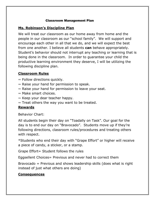#### Classroom Management Plan

# **Ms. Robinson's Discipline Plan**

We will treat our classroom as our home away from home and the people in our classroom as our "school family". We will support and encourage each other in all that we do, and we will expect the best from one another. I believe all students **can** behave appropriately. Student's behavior should not interrupt any teaching or learning that is being done in the classroom. In order to guarantee your child the productive learning environment they deserve, I will be utilizing the following discipline plan.

# **Classroom Rules**

- $\sim$  Follow directions quickly.
- $\sim$  Raise your hand for permission to speak.
- $\sim$  Raise your hand for permission to leave your seat.
- $\sim$  Make smart choices.
- $\sim$  Keep your dear teacher happy.
- $\sim$  Treat others the way you want to be treated.

# **Rewards**

Behavior Chart:

All students begin their day on "Toadally on Task". Our goal for the day is to end our day on "Bravocado". Students move up if they're following directions, classroom rules/procedures and treating others with respect.

\*Students who end their day with "Grape Effort" or higher will receive a piece of candy, a sticker, or a stamp.

Grape Effort= Student follows the rules

Eggsellent Choices= Previous and never had to correct them

Bravocado = Previous and shows leadership skills (does what is right instead of just what others are doing)

# **Consequences**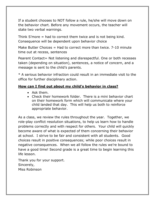If a student chooses to NOT follow a rule, he/she will move down on the behavior chart. Before any movement occurs, the teacher will state two verbal warnings.

Think S'more = had to correct them twice and is not being kind. Consequence will be dependent upon behavior choice

Make Butter Choices  $=$  Had to correct more than twice. 7-10 minute time out at recess, sentences

Pearent Contact= Not listening and disrespectful. One or both recesses taken (depending on situation), sentences, a notice of concern, and a message is sent to the child's parents.

\* A serious behavior infraction could result in an immediate visit to the office for further disciplinary action.

# **How can I find out about my child's behavior in class?**

- Ask them.
- Check their homework folder. There is a mini behavior chart on their homework form which will communicate where your child landed that day. This will help us both to reinforce appropriate behavior.

As a class, we review the rules throughout the year. Together, we role-play conflict resolution situations, to help us learn how to handle problems correctly and with respect for others. Your child will quickly become aware of what is expected of them concerning their behavior at school. I strive to be fair and consistent with all students. Good choices result in positive consequences; while poor choices result in negative consequences. When we all follow the rules we're bound to have a good time! Second grade is a great time to begin learning this life lesson.

Thank you for your support. Sincerely, Miss Robinson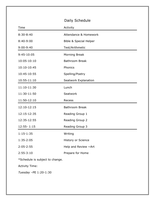|                                 | Daily Schedule                    |
|---------------------------------|-----------------------------------|
| Time                            | Activity                          |
| $8:30 - 8:40$                   | Attendance & Homework             |
| 8:40-9:00                       | <b>Bible &amp; Special Helper</b> |
| $9:00 - 9:40$                   | Test/Arithmetic                   |
| 9:45-10:05                      | <b>Morning Break</b>              |
| 10:05-10:10                     | <b>Bathroom Break</b>             |
| 10:10-10:45                     | Phonics                           |
| 10:45-10:55                     | Spelling/Poetry                   |
| 10:55-11:10                     | Seatwork Explanation              |
| 11:10-11:30                     | Lunch                             |
| 11:30-11:50                     | Seatwork                          |
| 11:50-12:10                     | Recess                            |
| 12:10-12:15                     | <b>Bathroom Break</b>             |
| 12:15-12:35                     | Reading Group 1                   |
| 12:35-12:55                     | Reading Group 2                   |
| 12:55-1:15                      | Reading Group 3                   |
| $1:15-1:35$                     | Writing                           |
| 1:35-2:05                       | History or Science                |
| $2:05 - 2:55$                   | Help and Review ~Art              |
| $2:55-3:10$                     | Prepare for Home                  |
| *Schedule is subject to change. |                                   |
| <b>Activity Time:</b>           |                                   |
| Tuesday -PE 1:20-1:30           |                                   |
|                                 |                                   |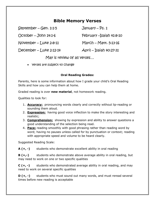# **Bible Memory Verses**

| January $-$ Ps. 1                        |
|------------------------------------------|
| February - Isaiah 41:8-10                |
| March $-$ Matt. 5:13-16                  |
| $\text{April} - \text{Isqiah } 40:27-31$ |
|                                          |

May is review of all verses…

• verses are subject to change

#### **Oral Reading Grades:**

Parents, here is some information about how I grade your child's Oral Reading Skills and how you can help them at home.

Graded reading is over **new material**, not homework reading.

Qualities to look for:

- 1. **Accuracy:** pronouncing words clearly and correctly without lip-reading or sounding them aloud.
- 2. **Expression:** having good voice inflection to make the story interesting and realistic;
- 3. **Comprehension:** showing by expression and ability to answer questions a good understanding of the selection being read.
- 4. **Pace:** reading smoothly with good phrasing rather than reading word by word; having no pauses unless called for by punctuation or context; reading with appropriate speed and volume to be heard clearly.

Suggested Reading Scale:

**A (+, -)** students who demonstrate excellent ability in oral reading

**B (+,-)** students who demonstrate above average ability in oral reading, but may need to work on one or two specific qualities

**C (+, -)** students who demonstrated average ability in oral reading, and may need to work on several specific qualities

**D (+, -)** students who must sound out many words, and must reread several times before new reading is acceptable